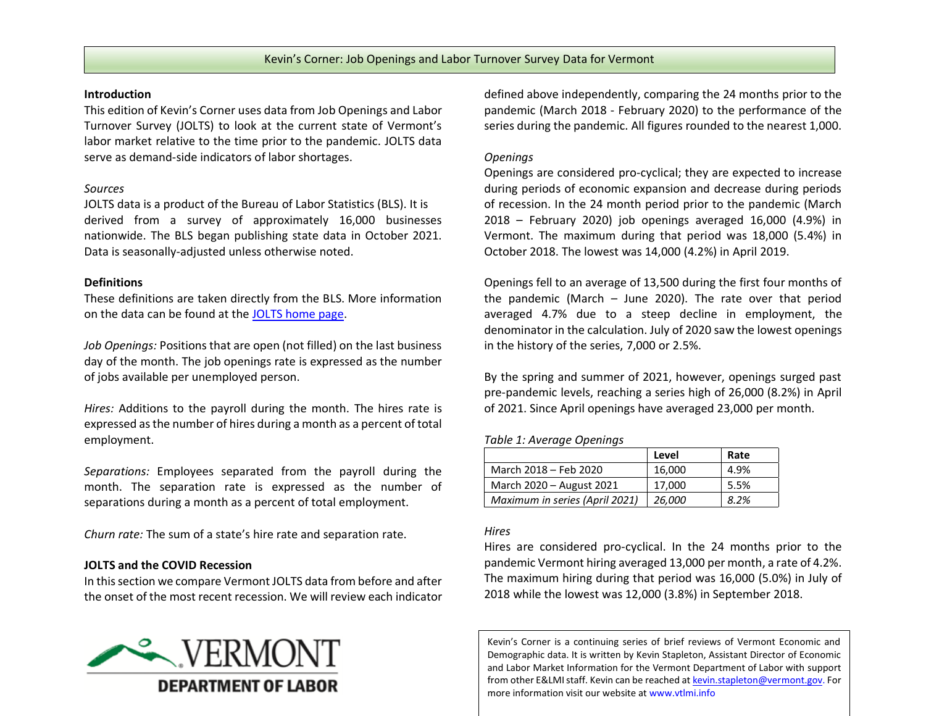#### **Introduction**

This edition of Kevin's Corner uses data from Job Openings and Labor Turnover Survey (JOLTS) to look at the current state of Vermont's labor market relative to the time prior to the pandemic. JOLTS data serve as demand-side indicators of labor shortages.

### *Sources*

JOLTS data is a product of the Bureau of Labor Statistics (BLS). It is derived from a survey of approximately 16,000 businesses nationwide. The BLS began publishing state data in October 2021. Data is seasonally-adjusted unless otherwise noted.

# **Definitions**

These definitions are taken directly from the BLS. More information on the data can be found at the [JOLTS home page.](https://www.bls.gov/jlt/)

*Job Openings:* Positions that are open (not filled) on the last business day of the month. The job openings rate is expressed as the number of jobs available per unemployed person.

*Hires:* Additions to the payroll during the month. The hires rate is expressed as the number of hires during a month as a percent of total employment.

*Separations:* Employees separated from the payroll during the month. The separation rate is expressed as the number of separations during a month as a percent of total employment.

*Churn rate:* The sum of a state's hire rate and separation rate.

# **JOLTS and the COVID Recession**

In this section we compare Vermont JOLTS data from before and after the onset of the most recent recession. We will review each indicator



defined above independently, comparing the 24 months prior to the pandemic (March 2018 - February 2020) to the performance of the series during the pandemic. All figures rounded to the nearest 1,000.

# *Openings*

Openings are considered pro-cyclical; they are expected to increase during periods of economic expansion and decrease during periods of recession. In the 24 month period prior to the pandemic (March 2018 – February 2020) job openings averaged 16,000 (4.9%) in Vermont. The maximum during that period was 18,000 (5.4%) in October 2018. The lowest was 14,000 (4.2%) in April 2019.

Openings fell to an average of 13,500 during the first four months of the pandemic (March – June 2020). The rate over that period averaged 4.7% due to a steep decline in employment, the denominator in the calculation. July of 2020 saw the lowest openings in the history of the series, 7,000 or 2.5%.

By the spring and summer of 2021, however, openings surged past pre-pandemic levels, reaching a series high of 26,000 (8.2%) in April of 2021. Since April openings have averaged 23,000 per month.

# *Table 1: Average Openings*

|                                | Level  | Rate |
|--------------------------------|--------|------|
| March 2018 - Feb 2020          | 16,000 | 4.9% |
| March 2020 - August 2021       | 17,000 | 5.5% |
| Maximum in series (April 2021) | 26,000 | 8.2% |

# *Hires*

Hires are considered pro-cyclical. In the 24 months prior to the pandemic Vermont hiring averaged 13,000 per month, a rate of 4.2%. The maximum hiring during that period was 16,000 (5.0%) in July of 2018 while the lowest was 12,000 (3.8%) in September 2018.

Kevin's Corner is a continuing series of brief reviews of Vermont Economic and Demographic data. It is written by Kevin Stapleton, Assistant Director of Economic and Labor Market Information for the Vermont Department of Labor with support from other E&LMI staff. Kevin can be reached a[t kevin.stapleton@vermont.gov.](mailto:kevin.stapleton@vermont.gov) For more information visit our website at www.vtlmi.info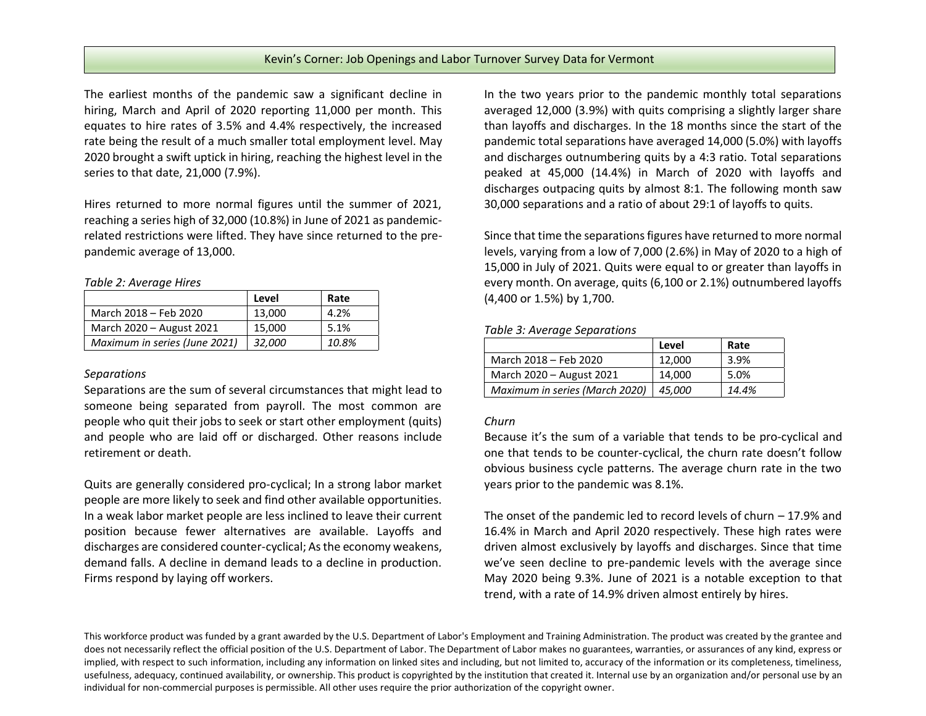The earliest months of the pandemic saw a significant decline in hiring, March and April of 2020 reporting 11,000 per month. This equates to hire rates of 3.5% and 4.4% respectively, the increased rate being the result of a much smaller total employment level. May 2020 brought a swift uptick in hiring, reaching the highest level in the series to that date, 21,000 (7.9%).

Hires returned to more normal figures until the summer of 2021, reaching a series high of 32,000 (10.8%) in June of 2021 as pandemicrelated restrictions were lifted. They have since returned to the prepandemic average of 13,000.

*Table 2: Average Hires*

|                               | Level  | Rate  |
|-------------------------------|--------|-------|
| March 2018 - Feb 2020         | 13,000 | 4.2%  |
| March 2020 - August 2021      | 15,000 | 5.1%  |
| Maximum in series (June 2021) | 32.000 | 10.8% |

#### *Separations*

Separations are the sum of several circumstances that might lead to someone being separated from payroll. The most common are people who quit their jobs to seek or start other employment (quits) and people who are laid off or discharged. Other reasons include retirement or death.

Quits are generally considered pro-cyclical; In a strong labor market people are more likely to seek and find other available opportunities. In a weak labor market people are less inclined to leave their current position because fewer alternatives are available. Layoffs and discharges are considered counter-cyclical; As the economy weakens, demand falls. A decline in demand leads to a decline in production. Firms respond by laying off workers.

In the two years prior to the pandemic monthly total separations averaged 12,000 (3.9%) with quits comprising a slightly larger share than layoffs and discharges. In the 18 months since the start of the pandemic total separations have averaged 14,000 (5.0%) with layoffs and discharges outnumbering quits by a 4:3 ratio. Total separations peaked at 45,000 (14.4%) in March of 2020 with layoffs and discharges outpacing quits by almost 8:1. The following month saw 30,000 separations and a ratio of about 29:1 of layoffs to quits.

Since that time the separations figures have returned to more normal levels, varying from a low of 7,000 (2.6%) in May of 2020 to a high of 15,000 in July of 2021. Quits were equal to or greater than layoffs in every month. On average, quits (6,100 or 2.1%) outnumbered layoffs (4,400 or 1.5%) by 1,700.

### *Table 3: Average Separations*

|                                | Level  | Rate  |
|--------------------------------|--------|-------|
| March 2018 - Feb 2020          | 12.000 | 3.9%  |
| March 2020 - August 2021       | 14.000 | 5.0%  |
| Maximum in series (March 2020) | 45.000 | 14.4% |

#### *Churn*

Because it's the sum of a variable that tends to be pro-cyclical and one that tends to be counter-cyclical, the churn rate doesn't follow obvious business cycle patterns. The average churn rate in the two years prior to the pandemic was 8.1%.

The onset of the pandemic led to record levels of churn – 17.9% and 16.4% in March and April 2020 respectively. These high rates were driven almost exclusively by layoffs and discharges. Since that time we've seen decline to pre-pandemic levels with the average since May 2020 being 9.3%. June of 2021 is a notable exception to that trend, with a rate of 14.9% driven almost entirely by hires.

This workforce product was funded by a grant awarded by the U.S. Department of Labor's Employment and Training Administration. The product was created by the grantee and does not necessarily reflect the official position of the U.S. Department of Labor. The Department of Labor makes no guarantees, warranties, or assurances of any kind, express or implied, with respect to such information, including any information on linked sites and including, but not limited to, accuracy of the information or its completeness, timeliness, usefulness, adequacy, continued availability, or ownership. This product is copyrighted by the institution that created it. Internal use by an organization and/or personal use by an individual for non-commercial purposes is permissible. All other uses require the prior authorization of the copyright owner.